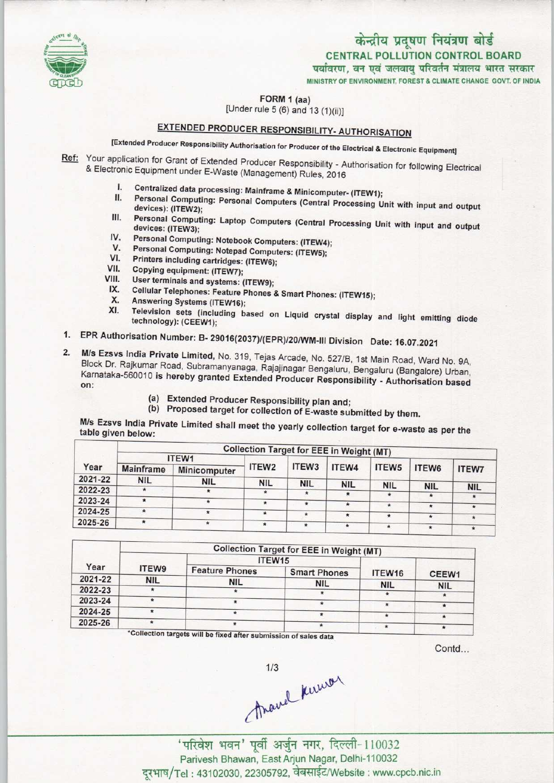

# केन्द्रीय प्रदूषण नियंत्रण बोर्ड

CENTRAL POLLUTION CONTROL BOARD

पर्यावरण, वन एवं जलवाय परिवर्तन मंत्रालय भारत सरकार

MINISTRY OF ENVIRONMENT, FOREST & CLIMATE CHANGE GOVT. OF INDIA

FORM 1 (aa)

[Under rule 5 (6) and 13 (1)(ii)]

## EXTENDED PRODUCER RESPONSIBILITY- AUTHORISATION

[Extended Producer Responsibility Authorisation for Producer of the Electrical S Electronic Equipment]

Ref: Your application for Grant of Extended Producer Responsibility - Authorisation for following Electrical & Electronic Equipment under E-Waste (Management) Rules, 2016

- I. Centralized data processing: Mainframe & Minicomputer- (ITEW1);<br>II. Personal Computing: Personal Computers (October 1996)
- Personal Computing: Personal Computers (Central Processing Unit with input and output devices): (ITEW2);
- III. Personal Computing: Laptop Computers (Central Processing Unit with Input and output devices: (ITEW3); III. Personal Computing: Laptop Computers (Central Indevices: (ITEW3);<br>IV. Personal Computing: Notebook Computers: (ITEW4);<br>V. Personal Computing: Notebook Computers: (ITEW4); devices: (ITEW3);<br>V. Personal Computing: Notebook Computers: (ITEW4<br>V. Personal Computing: Notepad Computers: (ITEW5);
- 
- IV. Personal Computing: Notebook Computers: (ITEW4)<br>V. Personal Computing: Notepad Computers: (ITEW5);<br>VII. Printers including cartridges: (ITEW6);<br>VII. Copying equipment: (ITEW7);
- VI. Printers including cartridges: (ITEW6);<br>VII. Copying equipment: (ITEW7);<br>VIII. User terminals and systems: (ITEW9);
- 
- **VIII.** User terminals and systems: (ITEW9);<br>IX. Cellular Telephones: Feature Phones ( III. User terminals and systems: (<br>X. Cellular Telephones: Feature |<br>X. Answering Systems (ITEW16);<br>V. Telectric
- /II. Copying equipment: (ITEW7);<br>III. User terminals and systems: (ITEW9);<br>IX. Cellular Telephones: Feature Phones & Smart Phones: (ITEW15);
- 
- X. Answering Systems (ITEW16);<br>XI. Television sets (including based on Liquid crystal display and light emitting diode technology): (CEEW1);
- 1.EPR Authorisation Number: B- 29016(2037)/(EPR)/20/WM-lll Division Date: 16.07.2021
- 2.M/s Ezsvs India Private Limited, No. 319, Tejas Arcade, No. 527/B, 1st Main Road, Ward No. 9A, Block Dr. Rajkumar Road, Subramanyanaga, Rajajinagar Bengaluru, Bengaluru (Bangalore) Urban, Kamataka-560010 is hereby granted Extended Producer Responsibility - Authorisation based based on the model of<br>Karnataka-560010 is hereby granted Extended Producer Responsibility - Authorization b on:
	- (a) Extended Producer Responsibility plan and;
	- (b) Proposed target for collection of E-waste submitted by them.

M/s Ezsvs India Private Limited shall meet the yearly collection target for e-waste as per the table given below;

| Year    | <b>Collection Target for EEE in Weight (MT)</b> |                     |            |            |            |              |            |              |  |  |  |
|---------|-------------------------------------------------|---------------------|------------|------------|------------|--------------|------------|--------------|--|--|--|
|         | ITEW1                                           |                     |            |            |            |              |            |              |  |  |  |
|         | <b>Mainframe</b>                                | <b>Minicomputer</b> | ITEW2      | ITEW3      | ITEW4      | <b>ITEW5</b> | ITEW6      | <b>ITEW7</b> |  |  |  |
| 2021-22 | <b>NIL</b>                                      | <b>NIL</b>          | <b>NIL</b> | <b>NIL</b> | <b>NIL</b> | <b>NIL</b>   |            |              |  |  |  |
| 2022-23 |                                                 | $\star$             | $\star$    |            | $\star$    |              | <b>NIL</b> | <b>NIL</b>   |  |  |  |
| 2023-24 | $\star$                                         |                     | $\star$    | $\star$    |            |              |            |              |  |  |  |
| 2024-25 | $\star$                                         | $\star$             | $\star$    |            | $\star$    | $\star$      | $\star$    |              |  |  |  |
| 2025-26 | $\star$                                         |                     |            |            | $\star$    | $\star$      | $\star$    | $\star$      |  |  |  |
|         |                                                 | $\star$             | $\star$    |            | $\star$    | $\star$      | $\star$    |              |  |  |  |

|         | <b>Collection Target for EEE in Weight (MT)</b> |                       |                     |                    |            |  |  |  |  |
|---------|-------------------------------------------------|-----------------------|---------------------|--------------------|------------|--|--|--|--|
|         |                                                 | ITEW15                |                     |                    |            |  |  |  |  |
| Year    | <b>ITEW9</b>                                    | <b>Feature Phones</b> | <b>Smart Phones</b> | ITEW <sub>16</sub> | CEEW1      |  |  |  |  |
| 2021-22 | <b>NIL</b>                                      | <b>NIL</b>            | <b>NIL</b>          | <b>NIL</b>         |            |  |  |  |  |
| 2022-23 |                                                 | *                     |                     |                    | <b>NIL</b> |  |  |  |  |
| 2023-24 |                                                 |                       |                     | 大                  |            |  |  |  |  |
| 2024-25 |                                                 |                       |                     |                    |            |  |  |  |  |
| 2025-26 |                                                 |                       |                     | *                  |            |  |  |  |  |

\*Collection targets will be fixed after submission of sales data

Contd

 $\theta$  /  $\theta$  /  $\theta$  /  $\theta$  /  $\theta$  /  $\theta$  /  $\theta$  /  $\theta$  /  $\theta$  /  $\theta$  /  $\theta$  /  $\theta$  /  $\theta$  /  $\theta$  /  $\theta$  /  $\theta$  /  $\theta$  /  $\theta$  /  $\theta$  /  $\theta$  /  $\theta$  /  $\theta$  /  $\theta$  /  $\theta$  /  $\theta$  /  $\theta$  /  $\theta$  /  $\theta$  /  $\theta$  /  $\theta$  /  $\theta$  /  $\theta$ 

Parivesh Bhawan, EastArjun Nagar, Delhi-110032 दरभाष/Tel: 43102030, 22305792, वेबसाईट/Website: www.cpcb.nic.in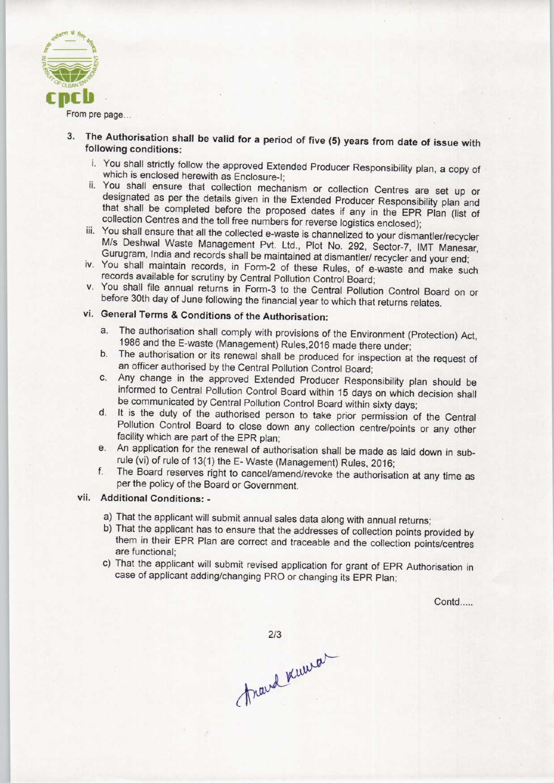

From pre page...

- 3. The Authorisation shall be valid for a period of five (5) years from date of issue with following conditions:
	- i. You shall strictly follow the approved Extended Producer Responsibility plan, a copy of which is enclosed herewith as Enclosure-I;
	- ii. You shall ensure that collection mechanism or collection Centres are set up or designated as per the details given in the Extended Producer Responsibility plan and that shall be completed before the proposed dates if any in the EPR Plan (list of collection Centres and the toll free numbers for reverse logistics enclosed);
	- iii. You shall ensure that all the collected e-waste is channelized to your dismantler/recycler M/s Deshwal Waste Management Pvt. Ltd., Plot No. 292, Sector-7, IMT Manesar, Gurugram, India and records shall be maintained at dismantler/ recycler and your end;
	- iv. You shall maintain records, in Form-2 of these Rules, of e-waste and make such records available for scrutiny by Central Pollution Control Board;
	- v. You shall file annual returns in Form-3 to the Central Pollution Control Board on or before 30th day of June following the financial year to which that returns relates.

### vi. General Terms & Conditions of the Authorisation:

- a.The authorisation shall comply with provisions of the Environment (Protection) Act, 1986 and the E-waste (Management) Rules,2016 made there under;
- b. The authorisation or its renewal shall be produced for inspection at the request of an officer authorised by the Central Pollution Control Board;
- c.Any change in the approved Extended Producer Responsibility plan should be informed to Central Pollution Control Board within 15 days on which decision shall be communicated by Central Pollution Control Board within sixty days;
- d.It is the duty of the authorised person to take prior permission of the Central Pollution Control Board to close down any collection centre/points or any other facility which are part of the EPR plan;
- e. An application for the renewal of authorisation shall be made as laid down in subrule (vi) of rule of 13(1) the E- Waste (Management) Rules, 2016;
- f.The Board reserves right to cancel/amend/revoke the authorisation at any time as per the policy of the Board or Government.

#### vii. Additional Conditions: -

- a)That the applicant will submit annual sales data along with annual returns;
- b) That the applicant has to ensure that the addresses of collection points provided by them in their EPR Plan are correct and traceable and the collection points/centres are functional;
- c) That the applicant will submit revised application for grant of EPR Authorisation in case of applicant adding/changing PRO or changing its EPR Plan;

Contd.....

 $2/3$ 

frand knewar